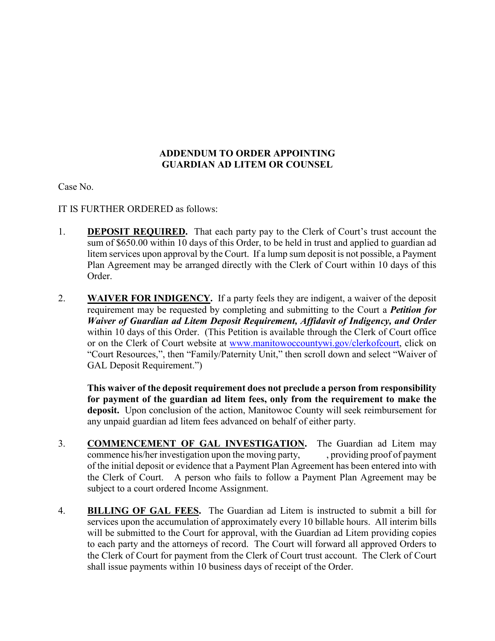## **ADDENDUM TO ORDER APPOINTING GUARDIAN AD LITEM OR COUNSEL**

Case No.

IT IS FURTHER ORDERED as follows:

- 1. **DEPOSIT REQUIRED.** That each party pay to the Clerk of Court's trust account the sum of \$650.00 within 10 days of this Order, to be held in trust and applied to guardian ad litem services upon approval by the Court. If a lump sum deposit is not possible, a Payment Plan Agreement may be arranged directly with the Clerk of Court within 10 days of this Order.
- 2. **WAIVER FOR INDIGENCY.** If a party feels they are indigent, a waiver of the deposit requirement may be requested by completing and submitting to the Court a *Petition for Waiver of Guardian ad Litem Deposit Requirement, Affidavit of Indigency, and Order* within 10 days of this Order. (This Petition is available through the Clerk of Court office or on the Clerk of Court website at www.manitowoccountywi.gov/clerkofcourt, click on "Court Resources,", then "Family/Paternity Unit," then scroll down and select "Waiver of GAL Deposit Requirement.")

**This waiver of the deposit requirement does not preclude a person from responsibility for payment of the guardian ad litem fees, only from the requirement to make the deposit.** Upon conclusion of the action, Manitowoc County will seek reimbursement for any unpaid guardian ad litem fees advanced on behalf of either party.

- 3. **COMMENCEMENT OF GAL INVESTIGATION.** The Guardian ad Litem may commence his/her investigation upon the moving party, providing proof of payment of the initial deposit or evidence that a Payment Plan Agreement has been entered into with the Clerk of Court. A person who fails to follow a Payment Plan Agreement may be subject to a court ordered Income Assignment.
- 4. **BILLING OF GAL FEES.** The Guardian ad Litem is instructed to submit a bill for services upon the accumulation of approximately every 10 billable hours. All interim bills will be submitted to the Court for approval, with the Guardian ad Litem providing copies to each party and the attorneys of record. The Court will forward all approved Orders to the Clerk of Court for payment from the Clerk of Court trust account. The Clerk of Court shall issue payments within 10 business days of receipt of the Order.